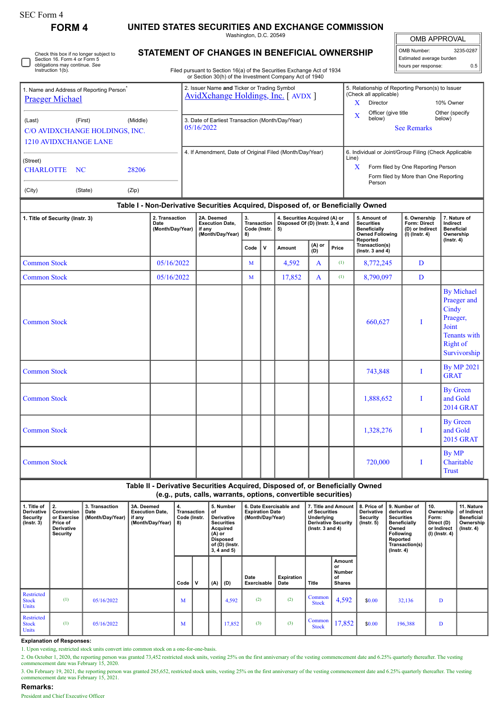**FORM 4 UNITED STATES SECURITIES AND EXCHANGE COMMISSION**

Washington, D.C. 20549

OMB APPROVAL OMB Number: 3235-0287 Estimated average burden

hours per response: 0.5

| Check this box if no longer subject to<br>Section 16. Form 4 or Form 5<br>obligations may continue. See |
|---------------------------------------------------------------------------------------------------------|
|                                                                                                         |

# **STATEMENT OF CHANGES IN BENEFICIAL OWNERSHIP**

Filed pursuant to Section 16(a) of the Securities Exchange Act of 1934 or Section 30(h) of the Investment Company Act of 1940

| 1. Name and Address of Reporting Person <sup>®</sup><br><b>Praeger Michael</b>         |         |          | 2. Issuer Name and Ticker or Trading Symbol<br>AvidXchange Holdings, Inc. [AVDX ] |            | 5. Relationship of Reporting Person(s) to Issuer<br>(Check all applicable)                                                                     |                          |  |  |  |
|----------------------------------------------------------------------------------------|---------|----------|-----------------------------------------------------------------------------------|------------|------------------------------------------------------------------------------------------------------------------------------------------------|--------------------------|--|--|--|
|                                                                                        |         |          |                                                                                   | x          | Director                                                                                                                                       | 10% Owner                |  |  |  |
| (Last)<br>C/O AVIDXCHANGE HOLDINGS, INC.<br>1210 AVIDXCHANGE LANE                      | (First) | (Middle) | 3. Date of Earliest Transaction (Month/Day/Year)<br>05/16/2022                    | X          | Officer (give title<br>below)<br><b>See Remarks</b>                                                                                            | Other (specify<br>below) |  |  |  |
| (Street)<br><b>CHARLOTTE</b><br>28206<br>NC <sub>1</sub><br>(City)<br>(State)<br>(Zip) |         |          | 4. If Amendment, Date of Original Filed (Month/Day/Year)                          | Line)<br>X | 6. Individual or Joint/Group Filing (Check Applicable<br>Form filed by One Reporting Person<br>Form filed by More than One Reporting<br>Person |                          |  |  |  |

# **Table I - Non-Derivative Securities Acquired, Disposed of, or Beneficially Owned**

| 1. Title of Security (Instr. 3) | 2. Transaction<br>Date<br>(Month/Day/Year) | 2A. Deemed<br><b>Execution Date,</b><br>if any<br>(Month/Day/Year) | 3.<br>Transaction<br>Code (Instr.<br>8) |              | 4. Securities Acquired (A) or<br>Disposed Of (D) (Instr. 3, 4 and<br>5) |                   |       | 5. Amount of<br><b>Securities</b><br><b>Beneficially</b><br><b>Owned Following</b><br>Reported | 6. Ownership<br>Form: Direct<br>(D) or Indirect<br>$(I)$ (Instr. 4) | 7. Nature of<br>Indirect<br><b>Beneficial</b><br>Ownership<br>$($ Instr. 4 $)$                                           |  |
|---------------------------------|--------------------------------------------|--------------------------------------------------------------------|-----------------------------------------|--------------|-------------------------------------------------------------------------|-------------------|-------|------------------------------------------------------------------------------------------------|---------------------------------------------------------------------|--------------------------------------------------------------------------------------------------------------------------|--|
|                                 |                                            |                                                                    | Code                                    | $\mathbf{v}$ | Amount                                                                  | $(A)$ or<br>$(B)$ | Price | Transaction(s)<br>(Instr. 3 and $4$ )                                                          |                                                                     |                                                                                                                          |  |
| <b>Common Stock</b>             | 05/16/2022                                 |                                                                    | M                                       |              | 4,592                                                                   | $\mathbf{A}$      | (1)   | 8,772,245                                                                                      | D                                                                   |                                                                                                                          |  |
| <b>Common Stock</b>             | 05/16/2022                                 |                                                                    | M                                       |              | 17,852                                                                  | $\mathbf{A}$      | (1)   | 8,790,097                                                                                      | D                                                                   |                                                                                                                          |  |
| <b>Common Stock</b>             |                                            |                                                                    |                                         |              |                                                                         |                   |       | 660,627                                                                                        |                                                                     | <b>By Michael</b><br>Praeger and<br>Cindy<br>Praeger,<br>Joint<br><b>Tenants</b> with<br><b>Right</b> of<br>Survivorship |  |
| <b>Common Stock</b>             |                                            |                                                                    |                                         |              |                                                                         |                   |       | 743,848                                                                                        | Ι                                                                   | <b>By MP 2021</b><br><b>GRAT</b>                                                                                         |  |
| <b>Common Stock</b>             |                                            |                                                                    |                                         |              |                                                                         |                   |       | 1,888,652                                                                                      | Ι                                                                   | <b>By Green</b><br>and Gold<br><b>2014 GRAT</b>                                                                          |  |
| <b>Common Stock</b>             |                                            |                                                                    |                                         |              |                                                                         |                   |       | 1,328,276                                                                                      | I                                                                   | <b>By Green</b><br>and Gold<br><b>2015 GRAT</b>                                                                          |  |
| <b>Common Stock</b>             |                                            |                                                                    |                                         |              |                                                                         |                   |       | 720,000                                                                                        |                                                                     | By MP<br>Charitable<br><b>Trust</b>                                                                                      |  |

# **Table II - Derivative Securities Acquired, Disposed of, or Beneficially Owned (e.g., puts, calls, warrants, options, convertible securities)**

| 1. Title of<br>Derivative<br>Security<br>$($ Instr. 3 $)$ | 2.<br>Conversion<br>or Exercise<br>Price of<br><b>Derivative</b><br>Security | 3. Transaction<br>Date<br>(Month/Day/Year) | 3A. Deemed<br><b>Execution Date,</b><br>if any<br>(Month/Day/Year) | 4.<br>Transaction<br>Code (Instr.<br>8) |             | 5. Number<br>of<br><b>Derivative</b><br><b>Securities</b><br>Acquired<br>$(A)$ or<br><b>Disposed</b><br>of (D) (Instr.<br>$3, 4$ and $5)$ |        | 6. Date Exercisable and<br><b>Expiration Date</b><br>(Month/Day/Year) |                    | 7. Title and Amount<br>of Securities<br>Underlying<br><b>Derivative Security</b><br>$($ lnstr. $3$ and $4)$ |                                               | 8. Price of<br><b>Derivative</b><br>Security<br>$($ lnstr. 5 $)$ | 9. Number of<br>derivative<br><b>Securities</b><br>Beneficially<br>Owned<br><b>Following</b><br>Reported<br>Transaction(s)<br>$($ lnstr. 4 $)$ | 10.<br>Ownership<br>Form:<br>Direct (D)<br>or Indirect<br>(I) (Instr. 4) | 11. Nature<br>of Indirect<br><b>Beneficial</b><br>Ownership<br>$($ Instr. 4 $)$ |
|-----------------------------------------------------------|------------------------------------------------------------------------------|--------------------------------------------|--------------------------------------------------------------------|-----------------------------------------|-------------|-------------------------------------------------------------------------------------------------------------------------------------------|--------|-----------------------------------------------------------------------|--------------------|-------------------------------------------------------------------------------------------------------------|-----------------------------------------------|------------------------------------------------------------------|------------------------------------------------------------------------------------------------------------------------------------------------|--------------------------------------------------------------------------|---------------------------------------------------------------------------------|
|                                                           |                                                                              |                                            |                                                                    | Code '                                  | $\mathbf v$ | (A)                                                                                                                                       | (D)    | Date<br>Exercisable                                                   | Expiration<br>Date | Title                                                                                                       | Amount<br>or<br>Number<br>of<br><b>Shares</b> |                                                                  |                                                                                                                                                |                                                                          |                                                                                 |
| Restricted<br><b>Stock</b><br>Units                       | (1)                                                                          | 05/16/2022                                 |                                                                    | M                                       |             |                                                                                                                                           | 4,592  | (2)                                                                   | (2)                | Common<br><b>Stock</b>                                                                                      | 4,592                                         | \$0.00                                                           | 32,136                                                                                                                                         | D                                                                        |                                                                                 |
| Restricted<br><b>Stock</b><br><b>Units</b>                | (1)                                                                          | 05/16/2022                                 |                                                                    | M                                       |             |                                                                                                                                           | 17,852 | (3)                                                                   | (3)                | Common<br><b>Stock</b>                                                                                      | 17,852                                        | \$0.00                                                           | 196,388                                                                                                                                        | D                                                                        |                                                                                 |

### **Explanation of Responses:**

1. Upon vesting, restricted stock units convert into common stock on a one-for-one-basis.

2. On October 1, 2020, the reporting person was granted 73,452 restricted stock units, vesting 25% on the first anniversary of the vesting commencement date and 6.25% quarterly thereafter. The vesting commencement date was

3. On February 19, 2021, the reporting person was granted 285,652, restricted stock units, vesting 25% on the first anniversary of the vesting commencement date and 6.25% quarterly thereafter. The vesting commencement date

## **Remarks:**

President and Chief Executive Officer